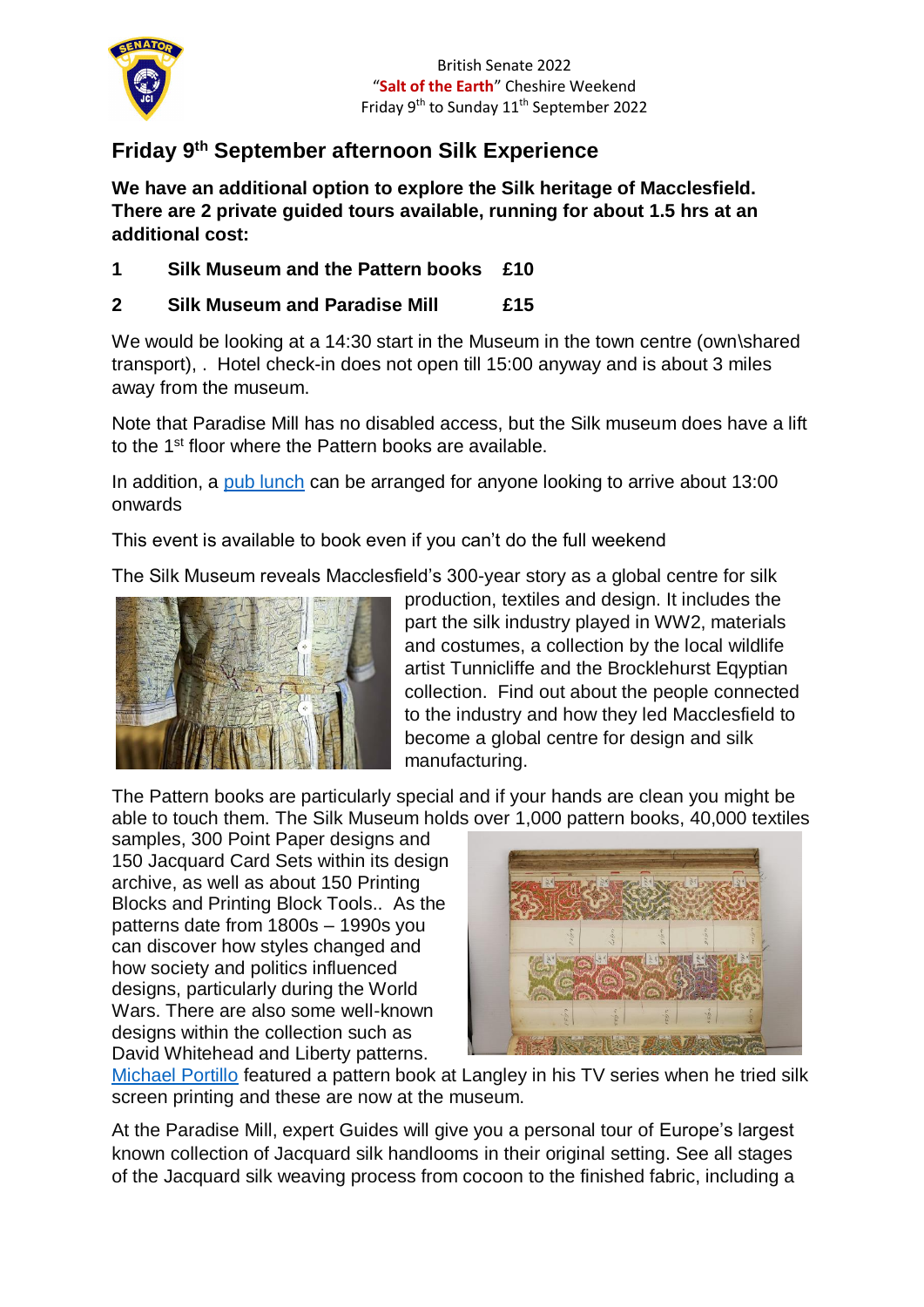

## **Friday 9th September afternoon Silk Experience**

**We have an additional option to explore the Silk heritage of Macclesfield. There are 2 private guided tours available, running for about 1.5 hrs at an additional cost:**

**1 Silk Museum and the Pattern books £10**

## **2 Silk Museum and Paradise Mill £15**

We would be looking at a 14:30 start in the Museum in the town centre (own\shared transport), . Hotel check-in does not open till 15:00 anyway and is about 3 miles away from the museum.

Note that Paradise Mill has no disabled access, but the Silk museum does have a lift to the 1st floor where the Pattern books are available.

In addition, a [pub lunch](https://fountainparkgreen.co.uk/food/) can be arranged for anyone looking to arrive about 13:00 onwards

This event is available to book even if you can't do the full weekend

The Silk Museum reveals Macclesfield's 300-year story as a global centre for silk



production, textiles and design. It includes the part the silk industry played in WW2, materials and costumes, a collection by the local wildlife artist Tunnicliffe and the Brocklehurst Eqyptian collection. Find out about the people connected to the industry and how they led Macclesfield to become a global centre for design and silk manufacturing.

The Pattern books are particularly special and if your hands are clean you might be able to touch them. The Silk Museum holds over 1,000 pattern books, 40,000 textiles

samples, 300 Point Paper designs and 150 Jacquard Card Sets within its design archive, as well as about 150 Printing Blocks and Printing Block Tools.. As the patterns date from 1800s – 1990s you can discover how styles changed and how society and politics influenced designs, particularly during the World Wars. There are also some well-known designs within the collection such as David Whitehead and Liberty patterns.



[Michael Portillo](https://www.macclesfield-live.co.uk/news/local-news/silk-heritage-macclesfield-features-michael-10683672) featured a pattern book at Langley in his TV series when he tried silk screen printing and these are now at the museum.

At the Paradise Mill, expert Guides will give you a personal tour of Europe's largest known collection of Jacquard silk handlooms in their original setting. See all stages of the Jacquard silk weaving process from cocoon to the finished fabric, including a